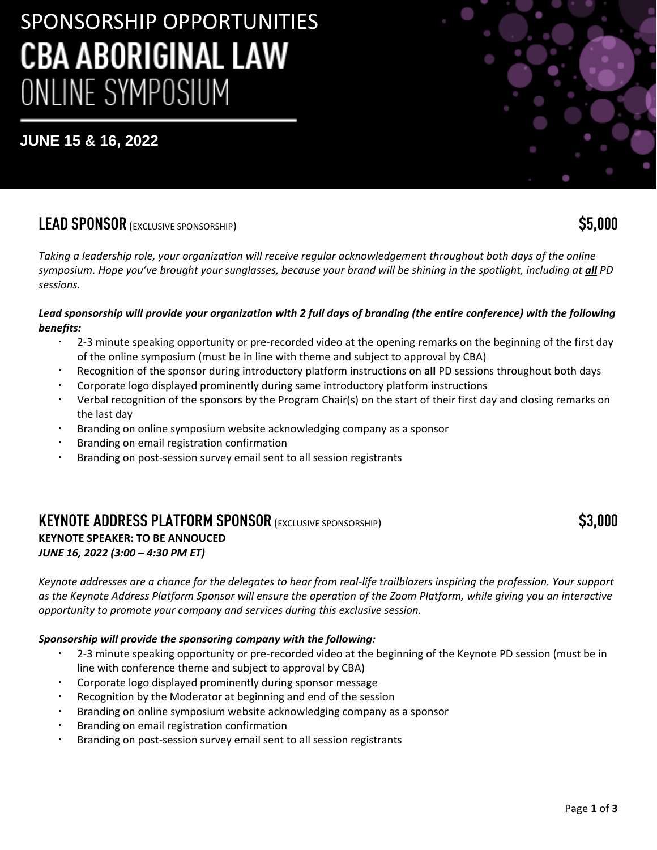# SPONSORSHIP OPPORTUNITIES **CBA ABORIGINAL LAW** ONLINE SYMPOSIUM

## **JUNE 15 & 16, 2022**

## **LEAD SPONSOR** (EXCLUSIVE SPONSORSHIP) **\$5,000**

*Taking a leadership role, your organization will receive regular acknowledgement throughout both days of the online symposium. Hope you've brought your sunglasses, because your brand will be shining in the spotlight, including at all PD sessions.*

#### *Lead sponsorship will provide your organization with 2 full days of branding (the entire conference) with the following benefits:*

- 2-3 minute speaking opportunity or pre-recorded video at the opening remarks on the beginning of the first day of the online symposium (must be in line with theme and subject to approval by CBA)
- Recognition of the sponsor during introductory platform instructions on **all** PD sessions throughout both days
- Corporate logo displayed prominently during same introductory platform instructions
- Verbal recognition of the sponsors by the Program Chair(s) on the start of their first day and closing remarks on the last day
- Branding on online symposium website acknowledging company as a sponsor
- Branding on email registration confirmation
- Branding on post-session survey email sent to all session registrants

### **KEYNOTE ADDRESS PLATFORM SPONSOR** (EXCLUSIVE SPONSORSHIP) **\$3,000 KEYNOTE SPEAKER: TO BE ANNOUCED** *JUNE 16, 2022 (3:00 – 4:30 PM ET)*

*Keynote addresses are a chance for the delegates to hear from real-life trailblazers inspiring the profession. Your support as the Keynote Address Platform Sponsor will ensure the operation of the Zoom Platform, while giving you an interactive opportunity to promote your company and services during this exclusive session.* 

#### *Sponsorship will provide the sponsoring company with the following:*

- 2-3 minute speaking opportunity or pre-recorded video at the beginning of the Keynote PD session (must be in line with conference theme and subject to approval by CBA)
- Corporate logo displayed prominently during sponsor message
- Recognition by the Moderator at beginning and end of the session
- Branding on online symposium website acknowledging company as a sponsor
- Branding on email registration confirmation
- Branding on post-session survey email sent to all session registrants

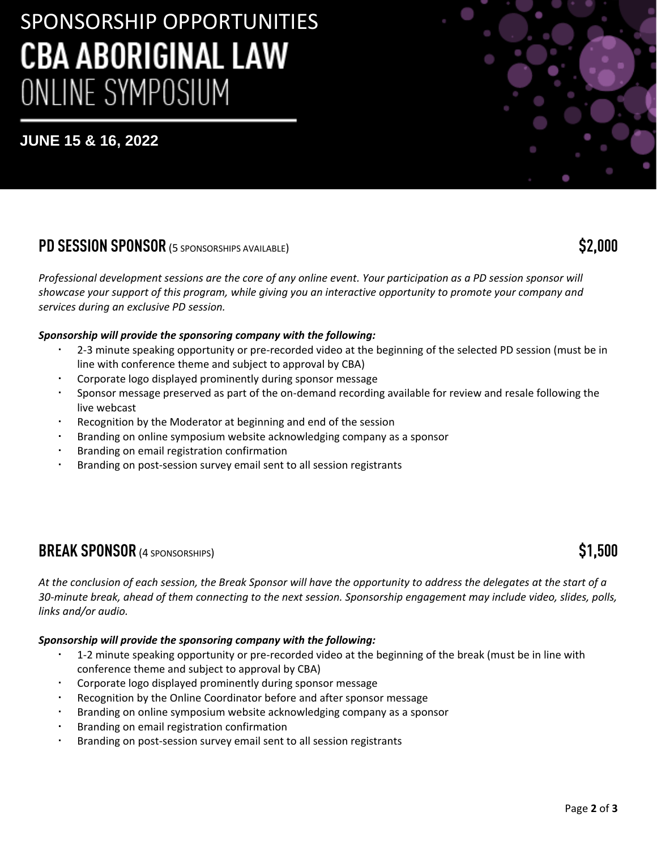# SPONSORSHIP OPPORTUNITIES **CBA ABORIGINAL LAW** ONLINE SYMPOSIUM

## **JUNE 15 & 16, 2022**

## **PD SESSION SPONSOR** (5 SPONSORSHIPS AVAILABLE) **\$2,000**

*Professional development sessions are the core of any online event. Your participation as a PD session sponsor will showcase your support of this program, while giving you an interactive opportunity to promote your company and services during an exclusive PD session.*

#### *Sponsorship will provide the sponsoring company with the following:*

- 2-3 minute speaking opportunity or pre-recorded video at the beginning of the selected PD session (must be in line with conference theme and subject to approval by CBA)
- Corporate logo displayed prominently during sponsor message
- Sponsor message preserved as part of the on-demand recording available for review and resale following the live webcast
- Recognition by the Moderator at beginning and end of the session
- Branding on online symposium website acknowledging company as a sponsor
- Branding on email registration confirmation
- Branding on post-session survey email sent to all session registrants

## **BREAK SPONSOR** (4 SPONSORSHIPS) **\$1,500**

*At the conclusion of each session, the Break Sponsor will have the opportunity to address the delegates at the start of a 30-minute break, ahead of them connecting to the next session. Sponsorship engagement may include video, slides, polls, links and/or audio.*

### *Sponsorship will provide the sponsoring company with the following:*

- 1-2 minute speaking opportunity or pre-recorded video at the beginning of the break (must be in line with conference theme and subject to approval by CBA)
- Corporate logo displayed prominently during sponsor message
- Recognition by the Online Coordinator before and after sponsor message
- Branding on online symposium website acknowledging company as a sponsor
- Branding on email registration confirmation
- Branding on post-session survey email sent to all session registrants